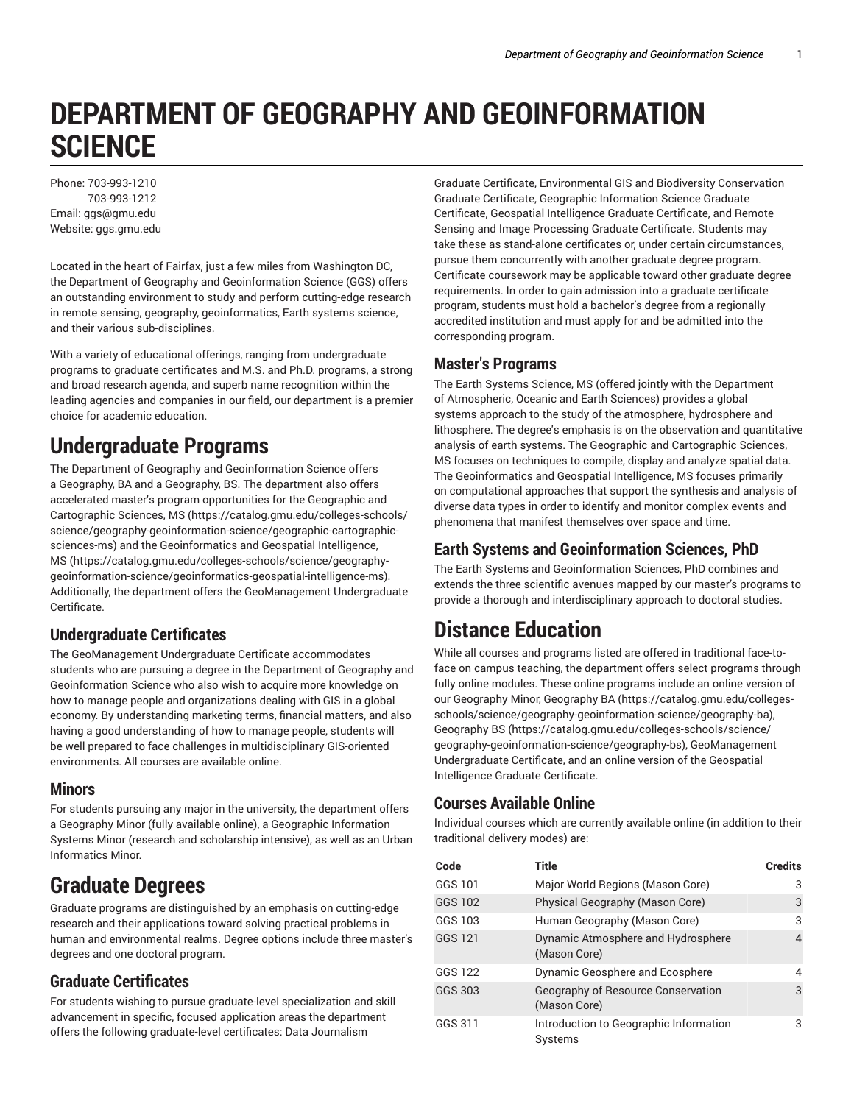# **DEPARTMENT OF GEOGRAPHY AND GEOINFORMATION SCIENCE**

Phone: 703-993-1210 703-993-1212 Email: ggs@gmu.edu Website: ggs.gmu.edu

Located in the heart of Fairfax, just a few miles from Washington DC, the Department of Geography and Geoinformation Science (GGS) offers an outstanding environment to study and perform cutting-edge research in remote sensing, geography, geoinformatics, Earth systems science, and their various sub-disciplines.

With a variety of educational offerings, ranging from undergraduate programs to graduate certificates and M.S. and Ph.D. programs, a strong and broad research agenda, and superb name recognition within the leading agencies and companies in our field, our department is a premier choice for academic education.

# **Undergraduate Programs**

The Department of Geography and Geoinformation Science offers a Geography, BA and a Geography, BS. The department also offers accelerated master's program opportunities for the Geographic and Cartographic Sciences, MS (https://catalog.gmu.edu/colleges-schools/ science/geography-geoinformation-science/geographic-cartographicsciences-ms) and the Geoinformatics and Geospatial Intelligence, MS (https://catalog.gmu.edu/colleges-schools/science/geographygeoinformation-science/geoinformatics-geospatial-intelligence-ms). Additionally, the department offers the GeoManagement Undergraduate Certificate.

#### **Undergraduate Certificates**

The GeoManagement Undergraduate Certificate accommodates students who are pursuing a degree in the Department of Geography and Geoinformation Science who also wish to acquire more knowledge on how to manage people and organizations dealing with GIS in a global economy. By understanding marketing terms, financial matters, and also having a good understanding of how to manage people, students will be well prepared to face challenges in multidisciplinary GIS-oriented environments. All courses are available online.

#### **Minors**

For students pursuing any major in the university, the department offers a Geography Minor (fully available online), a Geographic Information Systems Minor (research and scholarship intensive), as well as an Urban Informatics Minor.

# **Graduate Degrees**

Graduate programs are distinguished by an emphasis on cutting-edge research and their applications toward solving practical problems in human and environmental realms. Degree options include three master's degrees and one doctoral program.

#### **Graduate Certificates**

For students wishing to pursue graduate-level specialization and skill advancement in specific, focused application areas the department offers the following graduate-level certificates: Data Journalism

Graduate Certificate, Environmental GIS and Biodiversity Conservation Graduate Certificate, Geographic Information Science Graduate Certificate, Geospatial Intelligence Graduate Certificate, and Remote Sensing and Image Processing Graduate Certificate. Students may take these as stand-alone certificates or, under certain circumstances, pursue them concurrently with another graduate degree program. Certificate coursework may be applicable toward other graduate degree requirements. In order to gain admission into a graduate certificate program, students must hold a bachelor's degree from a regionally accredited institution and must apply for and be admitted into the corresponding program.

#### **Master's Programs**

The Earth Systems Science, MS (offered jointly with the Department of Atmospheric, Oceanic and Earth Sciences) provides a global systems approach to the study of the atmosphere, hydrosphere and lithosphere. The degree's emphasis is on the observation and quantitative analysis of earth systems. The Geographic and Cartographic Sciences, MS focuses on techniques to compile, display and analyze spatial data. The Geoinformatics and Geospatial Intelligence, MS focuses primarily on computational approaches that support the synthesis and analysis of diverse data types in order to identify and monitor complex events and phenomena that manifest themselves over space and time.

#### **Earth Systems and Geoinformation Sciences, PhD**

The Earth Systems and Geoinformation Sciences, PhD combines and extends the three scientific avenues mapped by our master's programs to provide a thorough and interdisciplinary approach to doctoral studies.

# **Distance Education**

While all courses and programs listed are offered in traditional face-toface on campus teaching, the department offers select programs through fully online modules. These online programs include an online version of our Geography Minor, Geography BA (https://catalog.gmu.edu/collegesschools/science/geography-geoinformation-science/geography-ba), Geography BS (https://catalog.gmu.edu/colleges-schools/science/ geography-geoinformation-science/geography-bs), GeoManagement Undergraduate Certificate, and an online version of the Geospatial Intelligence Graduate Certificate.

#### **Courses Available Online**

Individual courses which are currently available online (in addition to their traditional delivery modes) are:

| Code    | <b>Title</b>                                       | <b>Credits</b> |
|---------|----------------------------------------------------|----------------|
| GGS 101 | Major World Regions (Mason Core)                   | 3              |
| GGS 102 | Physical Geography (Mason Core)                    | 3              |
| GGS 103 | Human Geography (Mason Core)                       | 3              |
| GGS 121 | Dynamic Atmosphere and Hydrosphere<br>(Mason Core) | 4              |
| GGS 122 | Dynamic Geosphere and Ecosphere                    | 4              |
| GGS 303 | Geography of Resource Conservation<br>(Mason Core) | 3              |
| GGS 311 | Introduction to Geographic Information<br>Systems  | 3              |